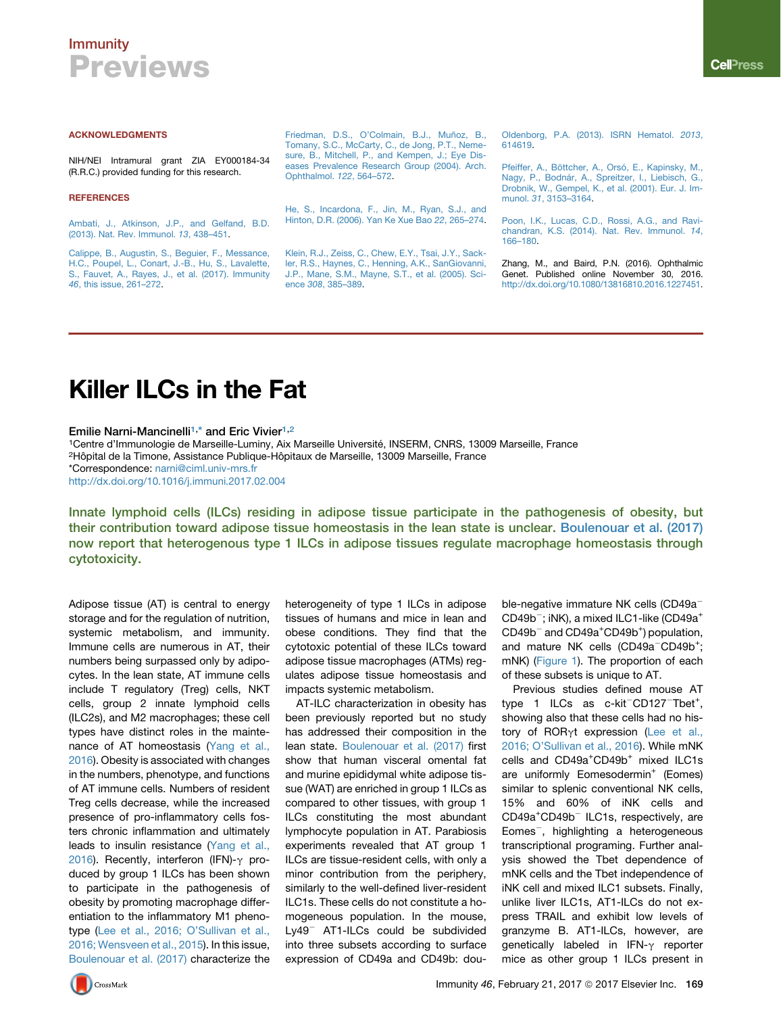## Immunity Previews

### ACKNOWLEDGMENTS

NIH/NEI Intramural grant ZIA EY000184-34 (R.R.C.) provided funding for this research.

#### **REFERENCES**

[Ambati, J., Atkinson, J.P., and Gelfand, B.D.](http://refhub.elsevier.com/S1074-7613(17)30043-2/sref1) [\(2013\). Nat. Rev. Immunol.](http://refhub.elsevier.com/S1074-7613(17)30043-2/sref1) *13*, 438–451.

[Calippe, B., Augustin, S., Beguier, F., Messance,](http://refhub.elsevier.com/S1074-7613(17)30043-2/sref2) [H.C., Poupel, L., Conart, J.-B., Hu, S., Lavalette,](http://refhub.elsevier.com/S1074-7613(17)30043-2/sref2) [S., Fauvet, A., Rayes, J., et al. \(2017\). Immunity](http://refhub.elsevier.com/S1074-7613(17)30043-2/sref2) *46*[, this issue, 261–272](http://refhub.elsevier.com/S1074-7613(17)30043-2/sref2).

Friedman, D.S., O'Colmain, B.J., Muñoz, B., [Tomany, S.C., McCarty, C., de Jong, P.T., Neme](http://refhub.elsevier.com/S1074-7613(17)30043-2/sref3)[sure, B., Mitchell, P., and Kempen, J.; Eye Dis](http://refhub.elsevier.com/S1074-7613(17)30043-2/sref3)[eases Prevalence Research Group \(2004\). Arch.](http://refhub.elsevier.com/S1074-7613(17)30043-2/sref3) [Ophthalmol.](http://refhub.elsevier.com/S1074-7613(17)30043-2/sref3) *122*, 564–572.

[He, S., Incardona, F., Jin, M., Ryan, S.J., and](http://refhub.elsevier.com/S1074-7613(17)30043-2/sref4) [Hinton, D.R. \(2006\). Yan Ke Xue Bao](http://refhub.elsevier.com/S1074-7613(17)30043-2/sref4) *22*, 265–274.

[Klein, R.J., Zeiss, C., Chew, E.Y., Tsai, J.Y., Sack](http://refhub.elsevier.com/S1074-7613(17)30043-2/sref5)[ler, R.S., Haynes, C., Henning, A.K., SanGiovanni,](http://refhub.elsevier.com/S1074-7613(17)30043-2/sref5) [J.P., Mane, S.M., Mayne, S.T., et al. \(2005\). Sci](http://refhub.elsevier.com/S1074-7613(17)30043-2/sref5)ence *308*[, 385–389.](http://refhub.elsevier.com/S1074-7613(17)30043-2/sref5)

[Oldenborg, P.A. \(2013\). ISRN Hematol.](http://refhub.elsevier.com/S1074-7613(17)30043-2/sref6) *2013*, [614619.](http://refhub.elsevier.com/S1074-7613(17)30043-2/sref6)

Pfeiffer, A., Böttcher, A., Orsó[, E., Kapinsky, M.,](http://refhub.elsevier.com/S1074-7613(17)30043-2/sref7) Nagy, P., Bodnár, A., Spreitzer, I., Liebisch, G., [Drobnik, W., Gempel, K., et al. \(2001\). Eur. J. Im](http://refhub.elsevier.com/S1074-7613(17)30043-2/sref7)munol. *31*[, 3153–3164.](http://refhub.elsevier.com/S1074-7613(17)30043-2/sref7)

[Poon, I.K., Lucas, C.D., Rossi, A.G., and Ravi](http://refhub.elsevier.com/S1074-7613(17)30043-2/sref8)[chandran, K.S. \(2014\). Nat. Rev. Immunol.](http://refhub.elsevier.com/S1074-7613(17)30043-2/sref8) *14*, [166–180](http://refhub.elsevier.com/S1074-7613(17)30043-2/sref8).

Zhang, M., and Baird, P.N. (2016). Ophthalmic Genet. Published online November 30, 2016. <http://dx.doi.org/10.1080/13816810.2016.1227451>.

# Killer ILCs in the Fat

Emilie Narni-Mancinelli<sup>[1](#page-0-0),[\\*](#page-0-1)</sup> and Eric Vivier<sup>[1,](#page-0-0)[2](#page-0-2)</sup>

<span id="page-0-0"></span>1Centre d'Immunologie de Marseille-Luminy, Aix Marseille Université, INSERM, CNRS, 13009 Marseille, France

<span id="page-0-2"></span><sup>2</sup>Hôpital de la Timone, Assistance Publique-Hôpitaux de Marseille, 13009 Marseille, France

<span id="page-0-1"></span>\*Correspondence: [narni@ciml.univ-mrs.fr](mailto:narni@ciml.univ-mrs.fr)

<http://dx.doi.org/10.1016/j.immuni.2017.02.004>

Innate lymphoid cells (ILCs) residing in adipose tissue participate in the pathogenesis of obesity, but their contribution toward adipose tissue homeostasis in the lean state is unclear. [Boulenouar et al. \(2017\)](#page-2-0) now report that heterogenous type 1 ILCs in adipose tissues regulate macrophage homeostasis through cytotoxicity.

Adipose tissue (AT) is central to energy storage and for the regulation of nutrition, systemic metabolism, and immunity. Immune cells are numerous in AT, their numbers being surpassed only by adipocytes. In the lean state, AT immune cells include T regulatory (Treg) cells, NKT cells, group 2 innate lymphoid cells (ILC2s), and M2 macrophages; these cell types have distinct roles in the mainte-nance of AT homeostasis ([Yang et al.,](#page-2-1) [2016\)](#page-2-1). Obesity is associated with changes in the numbers, phenotype, and functions of AT immune cells. Numbers of resident Treg cells decrease, while the increased presence of pro-inflammatory cells fosters chronic inflammation and ultimately leads to insulin resistance [\(Yang et al.,](#page-2-1) [2016\)](#page-2-1). Recently, interferon (IFN)- $\gamma$  produced by group 1 ILCs has been shown to participate in the pathogenesis of obesity by promoting macrophage differentiation to the inflammatory M1 phenotype ([Lee et al., 2016; O'Sullivan et al.,](#page-2-2) [2016; Wensveen et al., 2015\)](#page-2-2). In this issue, [Boulenouar et al. \(2017\)](#page-2-0) characterize the heterogeneity of type 1 ILCs in adipose tissues of humans and mice in lean and obese conditions. They find that the cytotoxic potential of these ILCs toward adipose tissue macrophages (ATMs) regulates adipose tissue homeostasis and impacts systemic metabolism.

AT-ILC characterization in obesity has been previously reported but no study has addressed their composition in the lean state. [Boulenouar et al. \(2017\)](#page-2-0) first show that human visceral omental fat and murine epididymal white adipose tissue (WAT) are enriched in group 1 ILCs as compared to other tissues, with group 1 ILCs constituting the most abundant lymphocyte population in AT. Parabiosis experiments revealed that AT group 1 ILCs are tissue-resident cells, with only a minor contribution from the periphery, similarly to the well-defined liver-resident ILC1s. These cells do not constitute a homogeneous population. In the mouse,  $Ly49^-$  AT1-ILCs could be subdivided into three subsets according to surface expression of CD49a and CD49b: double-negative immature NK cells (CD49a  $CD49b^-$ ; iNK), a mixed ILC1-like (CD49a<sup>+</sup>  $CD49b^-$  and  $CD49a^+CD49b^+$ ) population, and mature NK cells (CD49a<sup>-</sup>CD49b<sup>+</sup>; mNK) ([Figure 1](#page-1-0)). The proportion of each of these subsets is unique to AT.

Previous studies defined mouse AT type 1 ILCs as c-kit<sup>-</sup>CD127<sup>-</sup>Tbet<sup>+</sup>, showing also that these cells had no history of ROR $\gamma t$  expression [\(Lee et al.,](#page-2-2) [2016; O'Sullivan et al., 2016\)](#page-2-2). While mNK cells and CD49a<sup>+</sup>CD49b<sup>+</sup> mixed ILC1s are uniformly Eomesodermin<sup>+</sup> (Eomes) similar to splenic conventional NK cells, 15% and 60% of iNK cells and CD49a<sup>+</sup>CD49b<sup>-</sup> ILC1s, respectively, are  $Eomes$ , highlighting a heterogeneous transcriptional programing. Further analysis showed the Tbet dependence of mNK cells and the Tbet independence of iNK cell and mixed ILC1 subsets. Finally, unlike liver ILC1s, AT1-ILCs do not express TRAIL and exhibit low levels of granzyme B. AT1-ILCs, however, are genetically labeled in  $IFN-\gamma$  reporter mice as other group 1 ILCs present in

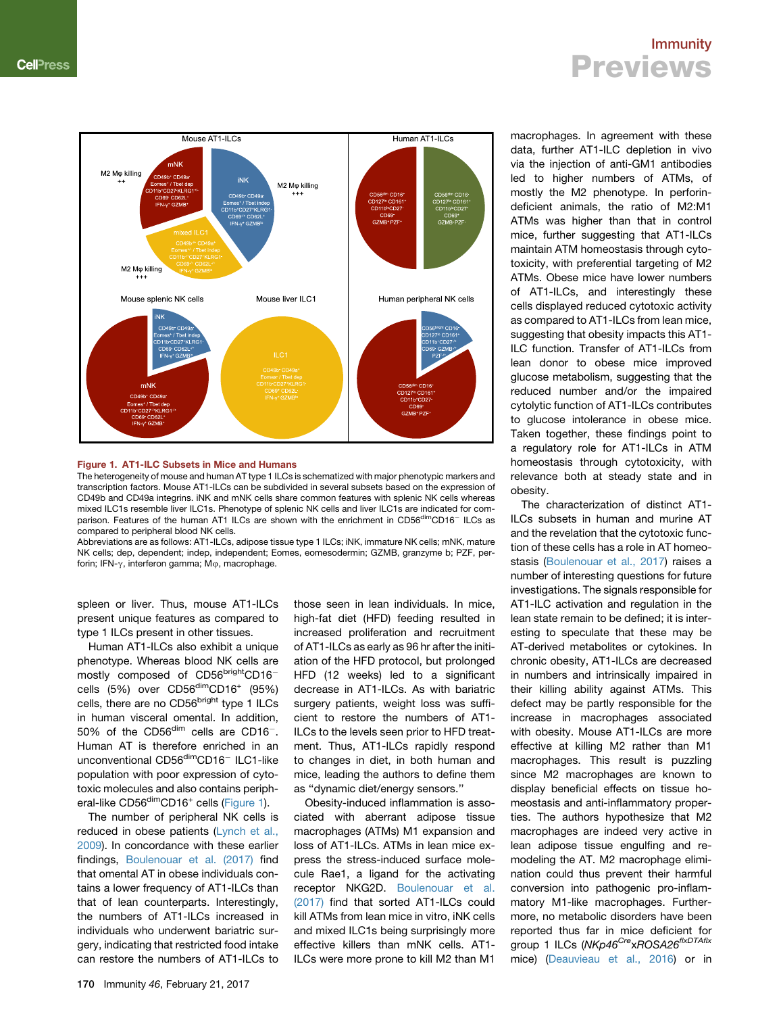M2 Mo killina

<span id="page-1-0"></span>



### Figure 1. AT1-ILC Subsets in Mice and Humans

The heterogeneity of mouse and human AT type 1 ILCs is schematized with major phenotypic markers and transcription factors. Mouse AT1-ILCs can be subdivided in several subsets based on the expression of CD49b and CD49a integrins. iNK and mNK cells share common features with splenic NK cells whereas mixed ILC1s resemble liver ILC1s. Phenotype of splenic NK cells and liver ILC1s are indicated for comparison. Features of the human AT1 ILCs are shown with the enrichment in CD56dimCD16 ILCs as compared to peripheral blood NK cells.

Abbreviations are as follows: AT1-ILCs, adipose tissue type 1 ILCs; iNK, immature NK cells; mNK, mature NK cells; dep, dependent; indep, independent; Eomes, eomesodermin; GZMB, granzyme b; PZF, perforin; IFN- $\gamma$ , interferon gamma; Mo, macrophage.

spleen or liver. Thus, mouse AT1-ILCs present unique features as compared to type 1 ILCs present in other tissues.

Human AT1-ILCs also exhibit a unique phenotype. Whereas blood NK cells are mostly composed of  $CD56<sup>bright</sup>CD16$ cells (5%) over CD56dimCD16+ (95%) cells, there are no CD56<sup>bright</sup> type 1 ILCs in human visceral omental. In addition, 50% of the CD56 $\text{dim}$  cells are CD16<sup>-</sup>. Human AT is therefore enriched in an unconventional CD56<sup>dim</sup>CD16<sup>-</sup> ILC1-like population with poor expression of cytotoxic molecules and also contains periph-eral-like CD56<sup>dim</sup>CD16<sup>+</sup> cells [\(Figure 1](#page-1-0)).

The number of peripheral NK cells is reduced in obese patients [\(Lynch et al.,](#page-2-3) [2009](#page-2-3)). In concordance with these earlier findings, [Boulenouar et al. \(2017\)](#page-2-0) find that omental AT in obese individuals contains a lower frequency of AT1-ILCs than that of lean counterparts. Interestingly, the numbers of AT1-ILCs increased in individuals who underwent bariatric surgery, indicating that restricted food intake can restore the numbers of AT1-ILCs to

those seen in lean individuals. In mice, high-fat diet (HFD) feeding resulted in increased proliferation and recruitment of AT1-ILCs as early as 96 hr after the initiation of the HFD protocol, but prolonged HFD (12 weeks) led to a significant decrease in AT1-ILCs. As with bariatric surgery patients, weight loss was sufficient to restore the numbers of AT1- ILCs to the levels seen prior to HFD treatment. Thus, AT1-ILCs rapidly respond to changes in diet, in both human and mice, leading the authors to define them as ''dynamic diet/energy sensors.''

Obesity-induced inflammation is associated with aberrant adipose tissue macrophages (ATMs) M1 expansion and loss of AT1-ILCs. ATMs in lean mice express the stress-induced surface molecule Rae1, a ligand for the activating receptor NKG2D. [Boulenouar et al.](#page-2-0) [\(2017\)](#page-2-0) find that sorted AT1-ILCs could kill ATMs from lean mice in vitro, iNK cells and mixed ILC1s being surprisingly more effective killers than mNK cells. AT1- ILCs were more prone to kill M2 than M1

### **Immunity Previews**

macrophages. In agreement with these data, further AT1-ILC depletion in vivo via the injection of anti-GM1 antibodies led to higher numbers of ATMs, of mostly the M2 phenotype. In perforindeficient animals, the ratio of M2:M1 ATMs was higher than that in control mice, further suggesting that AT1-ILCs maintain ATM homeostasis through cytotoxicity, with preferential targeting of M2 ATMs. Obese mice have lower numbers of AT1-ILCs, and interestingly these cells displayed reduced cytotoxic activity as compared to AT1-ILCs from lean mice, suggesting that obesity impacts this AT1- ILC function. Transfer of AT1-ILCs from lean donor to obese mice improved glucose metabolism, suggesting that the reduced number and/or the impaired cytolytic function of AT1-ILCs contributes to glucose intolerance in obese mice. Taken together, these findings point to a regulatory role for AT1-ILCs in ATM homeostasis through cytotoxicity, with relevance both at steady state and in obesity.

The characterization of distinct AT1- ILCs subsets in human and murine AT and the revelation that the cytotoxic function of these cells has a role in AT homeostasis [\(Boulenouar et al., 2017\)](#page-2-0) raises a number of interesting questions for future investigations. The signals responsible for AT1-ILC activation and regulation in the lean state remain to be defined; it is interesting to speculate that these may be AT-derived metabolites or cytokines. In chronic obesity, AT1-ILCs are decreased in numbers and intrinsically impaired in their killing ability against ATMs. This defect may be partly responsible for the increase in macrophages associated with obesity. Mouse AT1-ILCs are more effective at killing M2 rather than M1 macrophages. This result is puzzling since M2 macrophages are known to display beneficial effects on tissue homeostasis and anti-inflammatory properties. The authors hypothesize that M2 macrophages are indeed very active in lean adipose tissue engulfing and remodeling the AT. M2 macrophage elimination could thus prevent their harmful conversion into pathogenic pro-inflammatory M1-like macrophages. Furthermore, no metabolic disorders have been reported thus far in mice deficient for group 1 ILCs (*NKp46Cre*x*ROSA26flxDTAflx* mice) ([Deauvieau et al., 2016](#page-2-4)) or in